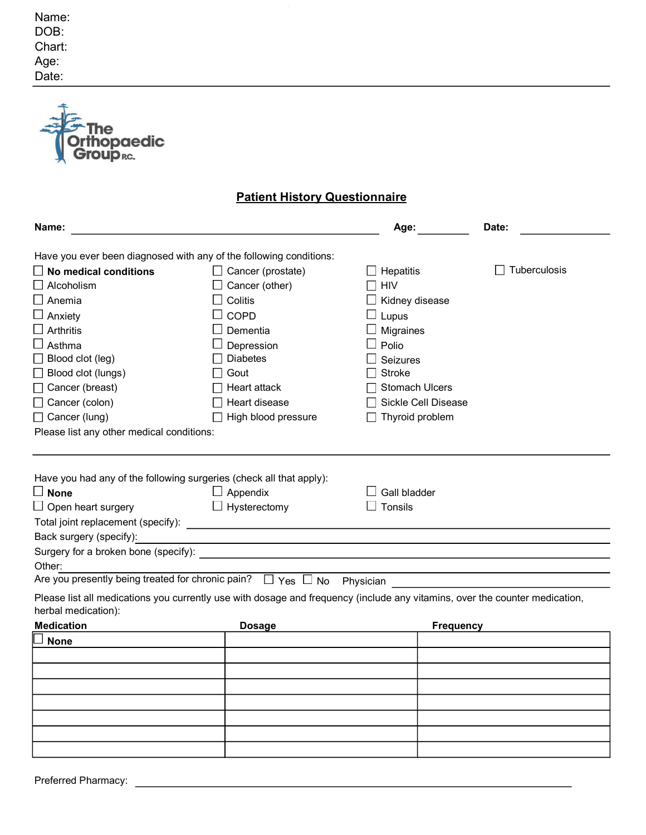| hopaedic<br><b>roup RC.</b>                                                                                                                                                                                                              |                                                                                                                                                                                                                                                                     |                                             |              |  |
|------------------------------------------------------------------------------------------------------------------------------------------------------------------------------------------------------------------------------------------|---------------------------------------------------------------------------------------------------------------------------------------------------------------------------------------------------------------------------------------------------------------------|---------------------------------------------|--------------|--|
| <b>Patient History Questionnaire</b>                                                                                                                                                                                                     |                                                                                                                                                                                                                                                                     |                                             |              |  |
| Name:                                                                                                                                                                                                                                    |                                                                                                                                                                                                                                                                     | Age:                                        | Date:        |  |
| Have you ever been diagnosed with any of the following conditions:                                                                                                                                                                       |                                                                                                                                                                                                                                                                     |                                             |              |  |
| $\Box$ No medical conditions                                                                                                                                                                                                             | $\Box$ Cancer (prostate)                                                                                                                                                                                                                                            | Hepatitis                                   | Tuberculosis |  |
| $\Box$ Alcoholism                                                                                                                                                                                                                        | Cancer (other)                                                                                                                                                                                                                                                      | <b>HIV</b>                                  |              |  |
| $\Box$ Anemia                                                                                                                                                                                                                            | Colitis                                                                                                                                                                                                                                                             | Kidney disease                              |              |  |
| $\Box$ Anxiety                                                                                                                                                                                                                           | <b>COPD</b>                                                                                                                                                                                                                                                         | Lupus                                       |              |  |
| $\Box$ Arthritis                                                                                                                                                                                                                         | Dementia                                                                                                                                                                                                                                                            | Migraines                                   |              |  |
| $\Box$ Asthma                                                                                                                                                                                                                            | Depression                                                                                                                                                                                                                                                          | Polio                                       |              |  |
| $\Box$ Blood clot (leg)                                                                                                                                                                                                                  | <b>Diabetes</b>                                                                                                                                                                                                                                                     | <b>Seizures</b>                             |              |  |
| Blood clot (lungs)                                                                                                                                                                                                                       | Gout                                                                                                                                                                                                                                                                | <b>Stroke</b>                               |              |  |
| Cancer (breast)                                                                                                                                                                                                                          | Heart attack                                                                                                                                                                                                                                                        | <b>Stomach Ulcers</b>                       |              |  |
| Cancer (colon)                                                                                                                                                                                                                           | Heart disease                                                                                                                                                                                                                                                       | Sickle Cell Disease                         |              |  |
| Cancer (lung)                                                                                                                                                                                                                            | High blood pressure                                                                                                                                                                                                                                                 | Thyroid problem                             |              |  |
| Please list any other medical conditions:                                                                                                                                                                                                |                                                                                                                                                                                                                                                                     |                                             |              |  |
| Have you had any of the following surgeries (check all that apply):<br>$\Box$ None<br>$\Box$ Open heart surgery<br>Back surgery (specify):<br>Surgery for a broken bone (specify):<br>Other:<br>herbal medication):<br><b>Medication</b> | Appendix<br>$\Box$ Hysterectomy<br>Are you presently being treated for chronic pain? $\Box$ Yes $\Box$ No Physician<br>Please list all medications you currently use with dosage and frequency (include any vitamins, over the counter medication,<br><b>Dosage</b> | Gall bladder<br>Tonsils<br><b>Frequency</b> |              |  |
| <b>None</b>                                                                                                                                                                                                                              |                                                                                                                                                                                                                                                                     |                                             |              |  |
|                                                                                                                                                                                                                                          |                                                                                                                                                                                                                                                                     |                                             |              |  |
|                                                                                                                                                                                                                                          |                                                                                                                                                                                                                                                                     |                                             |              |  |
|                                                                                                                                                                                                                                          |                                                                                                                                                                                                                                                                     |                                             |              |  |
|                                                                                                                                                                                                                                          |                                                                                                                                                                                                                                                                     |                                             |              |  |
|                                                                                                                                                                                                                                          |                                                                                                                                                                                                                                                                     |                                             |              |  |
|                                                                                                                                                                                                                                          |                                                                                                                                                                                                                                                                     |                                             |              |  |
|                                                                                                                                                                                                                                          |                                                                                                                                                                                                                                                                     |                                             |              |  |
|                                                                                                                                                                                                                                          |                                                                                                                                                                                                                                                                     |                                             |              |  |